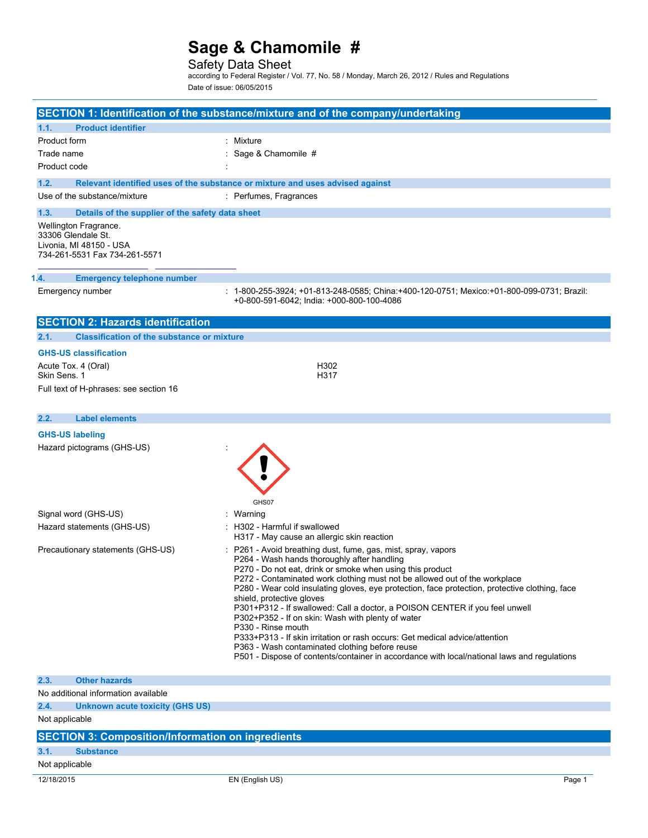### Safety Data Sheet

according to Federal Register / Vol. 77, No. 58 / Monday, March 26, 2012 / Rules and Regulations Date of issue: 06/05/2015

|                                                                                                         | SECTION 1: Identification of the substance/mixture and of the company/undertaking                                                                                                                                                                                                                                                                                                                                                                                                                                                                                                                                                                                                                                                                                                |
|---------------------------------------------------------------------------------------------------------|----------------------------------------------------------------------------------------------------------------------------------------------------------------------------------------------------------------------------------------------------------------------------------------------------------------------------------------------------------------------------------------------------------------------------------------------------------------------------------------------------------------------------------------------------------------------------------------------------------------------------------------------------------------------------------------------------------------------------------------------------------------------------------|
|                                                                                                         |                                                                                                                                                                                                                                                                                                                                                                                                                                                                                                                                                                                                                                                                                                                                                                                  |
| <b>Product identifier</b><br>1.1.                                                                       |                                                                                                                                                                                                                                                                                                                                                                                                                                                                                                                                                                                                                                                                                                                                                                                  |
| Product form                                                                                            | : Mixture                                                                                                                                                                                                                                                                                                                                                                                                                                                                                                                                                                                                                                                                                                                                                                        |
| Trade name                                                                                              | : Sage & Chamomile #                                                                                                                                                                                                                                                                                                                                                                                                                                                                                                                                                                                                                                                                                                                                                             |
| Product code                                                                                            |                                                                                                                                                                                                                                                                                                                                                                                                                                                                                                                                                                                                                                                                                                                                                                                  |
| 1.2.                                                                                                    | Relevant identified uses of the substance or mixture and uses advised against                                                                                                                                                                                                                                                                                                                                                                                                                                                                                                                                                                                                                                                                                                    |
| Use of the substance/mixture                                                                            | : Perfumes, Fragrances                                                                                                                                                                                                                                                                                                                                                                                                                                                                                                                                                                                                                                                                                                                                                           |
| 1.3.<br>Details of the supplier of the safety data sheet                                                |                                                                                                                                                                                                                                                                                                                                                                                                                                                                                                                                                                                                                                                                                                                                                                                  |
| Wellington Fragrance.<br>33306 Glendale St.<br>Livonia, MI 48150 - USA<br>734-261-5531 Fax 734-261-5571 |                                                                                                                                                                                                                                                                                                                                                                                                                                                                                                                                                                                                                                                                                                                                                                                  |
| 1.4.<br><b>Emergency telephone number</b>                                                               |                                                                                                                                                                                                                                                                                                                                                                                                                                                                                                                                                                                                                                                                                                                                                                                  |
| Emergency number                                                                                        | 1-800-255-3924; +01-813-248-0585; China:+400-120-0751; Mexico:+01-800-099-0731; Brazil:<br>+0-800-591-6042; India: +000-800-100-4086                                                                                                                                                                                                                                                                                                                                                                                                                                                                                                                                                                                                                                             |
| <b>SECTION 2: Hazards identification</b>                                                                |                                                                                                                                                                                                                                                                                                                                                                                                                                                                                                                                                                                                                                                                                                                                                                                  |
| 2.1.<br><b>Classification of the substance or mixture</b>                                               |                                                                                                                                                                                                                                                                                                                                                                                                                                                                                                                                                                                                                                                                                                                                                                                  |
| <b>GHS-US classification</b>                                                                            |                                                                                                                                                                                                                                                                                                                                                                                                                                                                                                                                                                                                                                                                                                                                                                                  |
| Acute Tox. 4 (Oral)                                                                                     | H302                                                                                                                                                                                                                                                                                                                                                                                                                                                                                                                                                                                                                                                                                                                                                                             |
| Skin Sens. 1                                                                                            | H317                                                                                                                                                                                                                                                                                                                                                                                                                                                                                                                                                                                                                                                                                                                                                                             |
| Full text of H-phrases: see section 16                                                                  |                                                                                                                                                                                                                                                                                                                                                                                                                                                                                                                                                                                                                                                                                                                                                                                  |
| 2.2.<br><b>Label elements</b>                                                                           |                                                                                                                                                                                                                                                                                                                                                                                                                                                                                                                                                                                                                                                                                                                                                                                  |
| <b>GHS-US labeling</b>                                                                                  |                                                                                                                                                                                                                                                                                                                                                                                                                                                                                                                                                                                                                                                                                                                                                                                  |
| Hazard pictograms (GHS-US)                                                                              | GHS07                                                                                                                                                                                                                                                                                                                                                                                                                                                                                                                                                                                                                                                                                                                                                                            |
| Signal word (GHS-US)                                                                                    | : Warning                                                                                                                                                                                                                                                                                                                                                                                                                                                                                                                                                                                                                                                                                                                                                                        |
| Hazard statements (GHS-US)                                                                              | : H302 - Harmful if swallowed<br>H317 - May cause an allergic skin reaction                                                                                                                                                                                                                                                                                                                                                                                                                                                                                                                                                                                                                                                                                                      |
| Precautionary statements (GHS-US)                                                                       | : P261 - Avoid breathing dust, fume, gas, mist, spray, vapors<br>P264 - Wash hands thoroughly after handling<br>P270 - Do not eat, drink or smoke when using this product<br>P272 - Contaminated work clothing must not be allowed out of the workplace<br>P280 - Wear cold insulating gloves, eye protection, face protection, protective clothing, face<br>shield, protective gloves<br>P301+P312 - If swallowed: Call a doctor, a POISON CENTER if you feel unwell<br>P302+P352 - If on skin: Wash with plenty of water<br>P330 - Rinse mouth<br>P333+P313 - If skin irritation or rash occurs: Get medical advice/attention<br>P363 - Wash contaminated clothing before reuse<br>P501 - Dispose of contents/container in accordance with local/national laws and regulations |
| <b>Other hazards</b><br>2.3.                                                                            |                                                                                                                                                                                                                                                                                                                                                                                                                                                                                                                                                                                                                                                                                                                                                                                  |
| No additional information available                                                                     |                                                                                                                                                                                                                                                                                                                                                                                                                                                                                                                                                                                                                                                                                                                                                                                  |
| 2.4.<br><b>Unknown acute toxicity (GHS US)</b>                                                          |                                                                                                                                                                                                                                                                                                                                                                                                                                                                                                                                                                                                                                                                                                                                                                                  |
| Not applicable                                                                                          |                                                                                                                                                                                                                                                                                                                                                                                                                                                                                                                                                                                                                                                                                                                                                                                  |
| <b>SECTION 3: Composition/Information on ingredients</b>                                                |                                                                                                                                                                                                                                                                                                                                                                                                                                                                                                                                                                                                                                                                                                                                                                                  |
| 3.1.<br><b>Substance</b>                                                                                |                                                                                                                                                                                                                                                                                                                                                                                                                                                                                                                                                                                                                                                                                                                                                                                  |
| Not applicable                                                                                          |                                                                                                                                                                                                                                                                                                                                                                                                                                                                                                                                                                                                                                                                                                                                                                                  |
| 12/18/2015                                                                                              | EN (English US)<br>Page 1                                                                                                                                                                                                                                                                                                                                                                                                                                                                                                                                                                                                                                                                                                                                                        |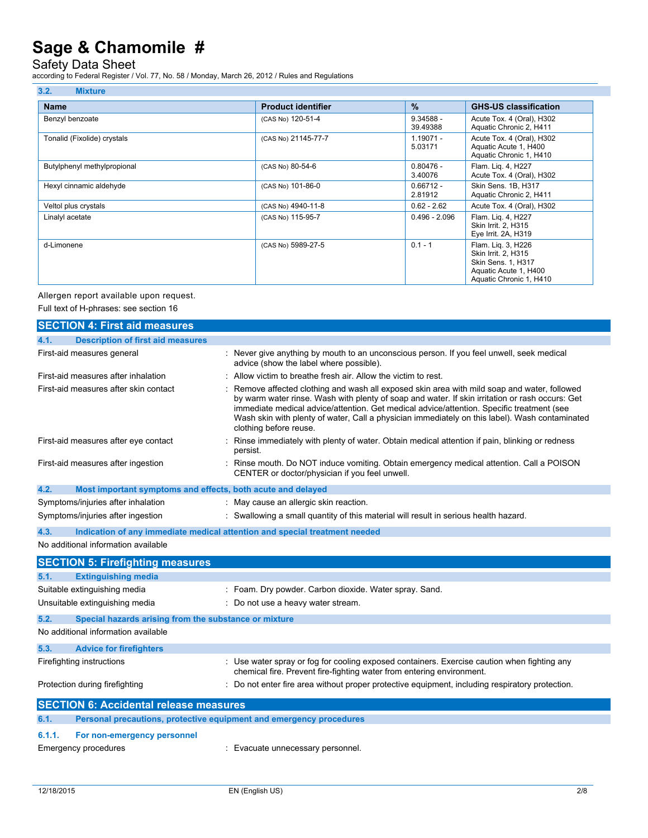### Safety Data Sheet

according to Federal Register / Vol. 77, No. 58 / Monday, March 26, 2012 / Rules and Regulations

| 3.2.<br><b>Mixture</b>      |                           |                         |                                                                                                                     |
|-----------------------------|---------------------------|-------------------------|---------------------------------------------------------------------------------------------------------------------|
| <b>Name</b>                 | <b>Product identifier</b> | $\frac{9}{6}$           | <b>GHS-US classification</b>                                                                                        |
| Benzyl benzoate             | (CAS No) 120-51-4         | $9.34588 -$<br>39.49388 | Acute Tox. 4 (Oral), H302<br>Aquatic Chronic 2, H411                                                                |
| Tonalid (Fixolide) crystals | (CAS No) 21145-77-7       | $1.19071 -$<br>5.03171  | Acute Tox. 4 (Oral), H302<br>Aquatic Acute 1, H400<br>Aquatic Chronic 1, H410                                       |
| Butylphenyl methylpropional | (CAS No) 80-54-6          | $0.80476 -$<br>3.40076  | Flam. Lig. 4, H227<br>Acute Tox. 4 (Oral), H302                                                                     |
| Hexyl cinnamic aldehyde     | (CAS No) 101-86-0         | $0.66712 -$<br>2.81912  | Skin Sens. 1B, H317<br>Aquatic Chronic 2, H411                                                                      |
| Veltol plus crystals        | (CAS No) 4940-11-8        | $0.62 - 2.62$           | Acute Tox. 4 (Oral), H302                                                                                           |
| Linalyl acetate             | (CAS No) 115-95-7         | $0.496 - 2.096$         | Flam. Lig. 4, H227<br>Skin Irrit. 2, H315<br>Eye Irrit. 2A, H319                                                    |
| d-Limonene                  | (CAS No) 5989-27-5        | $0.1 - 1$               | Flam. Lig. 3, H226<br>Skin Irrit. 2. H315<br>Skin Sens. 1, H317<br>Aquatic Acute 1, H400<br>Aquatic Chronic 1, H410 |

Allergen report available upon request.

Full text of H-phrases: see section 16

|        | <b>SECTION 4: First aid measures</b>                                |                                                                                                                                                                                                                                                                                                                                                                                                                          |
|--------|---------------------------------------------------------------------|--------------------------------------------------------------------------------------------------------------------------------------------------------------------------------------------------------------------------------------------------------------------------------------------------------------------------------------------------------------------------------------------------------------------------|
| 4.1.   | <b>Description of first aid measures</b>                            |                                                                                                                                                                                                                                                                                                                                                                                                                          |
|        | First-aid measures general                                          | : Never give anything by mouth to an unconscious person. If you feel unwell, seek medical<br>advice (show the label where possible).                                                                                                                                                                                                                                                                                     |
|        | First-aid measures after inhalation                                 | : Allow victim to breathe fresh air. Allow the victim to rest.                                                                                                                                                                                                                                                                                                                                                           |
|        | First-aid measures after skin contact                               | : Remove affected clothing and wash all exposed skin area with mild soap and water, followed<br>by warm water rinse. Wash with plenty of soap and water. If skin irritation or rash occurs: Get<br>immediate medical advice/attention. Get medical advice/attention. Specific treatment (see<br>Wash skin with plenty of water, Call a physician immediately on this label). Wash contaminated<br>clothing before reuse. |
|        | First-aid measures after eye contact                                | Rinse immediately with plenty of water. Obtain medical attention if pain, blinking or redness<br>persist.                                                                                                                                                                                                                                                                                                                |
|        | First-aid measures after ingestion                                  | : Rinse mouth. Do NOT induce vomiting. Obtain emergency medical attention. Call a POISON<br>CENTER or doctor/physician if you feel unwell.                                                                                                                                                                                                                                                                               |
| 4.2.   | Most important symptoms and effects, both acute and delayed         |                                                                                                                                                                                                                                                                                                                                                                                                                          |
|        | Symptoms/injuries after inhalation                                  | : May cause an allergic skin reaction.                                                                                                                                                                                                                                                                                                                                                                                   |
|        | Symptoms/injuries after ingestion                                   | : Swallowing a small quantity of this material will result in serious health hazard.                                                                                                                                                                                                                                                                                                                                     |
| 4.3.   |                                                                     | Indication of any immediate medical attention and special treatment needed                                                                                                                                                                                                                                                                                                                                               |
|        | No additional information available                                 |                                                                                                                                                                                                                                                                                                                                                                                                                          |
|        | <b>SECTION 5: Firefighting measures</b>                             |                                                                                                                                                                                                                                                                                                                                                                                                                          |
| 5.1.   | <b>Extinguishing media</b>                                          |                                                                                                                                                                                                                                                                                                                                                                                                                          |
|        | Suitable extinguishing media                                        | : Foam. Dry powder. Carbon dioxide. Water spray. Sand.                                                                                                                                                                                                                                                                                                                                                                   |
|        | Unsuitable extinguishing media                                      | : Do not use a heavy water stream.                                                                                                                                                                                                                                                                                                                                                                                       |
| 5.2.   | Special hazards arising from the substance or mixture               |                                                                                                                                                                                                                                                                                                                                                                                                                          |
|        | No additional information available                                 |                                                                                                                                                                                                                                                                                                                                                                                                                          |
| 5.3.   | <b>Advice for firefighters</b>                                      |                                                                                                                                                                                                                                                                                                                                                                                                                          |
|        | Firefighting instructions                                           | : Use water spray or fog for cooling exposed containers. Exercise caution when fighting any<br>chemical fire. Prevent fire-fighting water from entering environment.                                                                                                                                                                                                                                                     |
|        | Protection during firefighting                                      | : Do not enter fire area without proper protective equipment, including respiratory protection.                                                                                                                                                                                                                                                                                                                          |
|        | <b>SECTION 6: Accidental release measures</b>                       |                                                                                                                                                                                                                                                                                                                                                                                                                          |
| 6.1.   | Personal precautions, protective equipment and emergency procedures |                                                                                                                                                                                                                                                                                                                                                                                                                          |
| 6.1.1. | For non-emergency personnel                                         |                                                                                                                                                                                                                                                                                                                                                                                                                          |
|        | Emergency procedures                                                | : Evacuate unnecessary personnel.                                                                                                                                                                                                                                                                                                                                                                                        |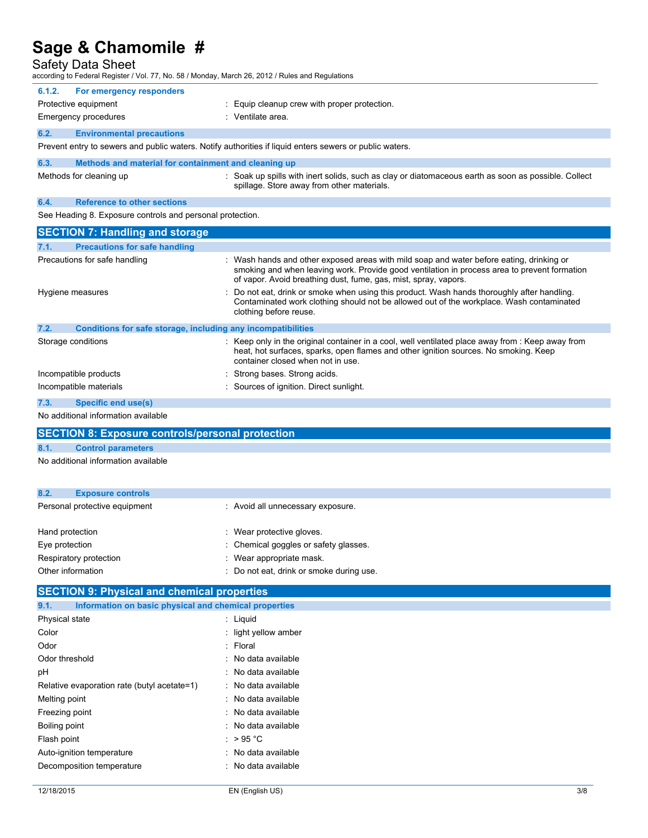Safety Data Sheet

| according to Federal Register / Vol. 77, No. 58 / Monday, March 26, 2012 / Rules and Regulations        |                                                                                                                                                                                                                                                             |
|---------------------------------------------------------------------------------------------------------|-------------------------------------------------------------------------------------------------------------------------------------------------------------------------------------------------------------------------------------------------------------|
| For emergency responders<br>6.1.2.                                                                      |                                                                                                                                                                                                                                                             |
| Protective equipment                                                                                    | : Equip cleanup crew with proper protection.                                                                                                                                                                                                                |
| Emergency procedures                                                                                    | : Ventilate area.                                                                                                                                                                                                                                           |
| 6.2.<br><b>Environmental precautions</b>                                                                |                                                                                                                                                                                                                                                             |
| Prevent entry to sewers and public waters. Notify authorities if liquid enters sewers or public waters. |                                                                                                                                                                                                                                                             |
| 6.3.<br>Methods and material for containment and cleaning up                                            |                                                                                                                                                                                                                                                             |
| Methods for cleaning up                                                                                 | : Soak up spills with inert solids, such as clay or diatomaceous earth as soon as possible. Collect<br>spillage. Store away from other materials.                                                                                                           |
| <b>Reference to other sections</b><br>6.4.                                                              |                                                                                                                                                                                                                                                             |
| See Heading 8. Exposure controls and personal protection.                                               |                                                                                                                                                                                                                                                             |
| <b>SECTION 7: Handling and storage</b>                                                                  |                                                                                                                                                                                                                                                             |
| <b>Precautions for safe handling</b><br>7.1.                                                            |                                                                                                                                                                                                                                                             |
| Precautions for safe handling                                                                           | : Wash hands and other exposed areas with mild soap and water before eating, drinking or<br>smoking and when leaving work. Provide good ventilation in process area to prevent formation<br>of vapor. Avoid breathing dust, fume, gas, mist, spray, vapors. |
| Hygiene measures                                                                                        | Do not eat, drink or smoke when using this product. Wash hands thoroughly after handling.<br>Contaminated work clothing should not be allowed out of the workplace. Wash contaminated<br>clothing before reuse.                                             |
| Conditions for safe storage, including any incompatibilities<br>7.2.                                    |                                                                                                                                                                                                                                                             |
| Storage conditions                                                                                      | : Keep only in the original container in a cool, well ventilated place away from : Keep away from<br>heat, hot surfaces, sparks, open flames and other ignition sources. No smoking. Keep<br>container closed when not in use.                              |
| Incompatible products                                                                                   | : Strong bases. Strong acids.                                                                                                                                                                                                                               |
| Incompatible materials                                                                                  | : Sources of ignition. Direct sunlight.                                                                                                                                                                                                                     |
| 7.3.<br><b>Specific end use(s)</b>                                                                      |                                                                                                                                                                                                                                                             |
| No additional information available                                                                     |                                                                                                                                                                                                                                                             |
| <b>SECTION 8: Exposure controls/personal protection</b>                                                 |                                                                                                                                                                                                                                                             |
| 8.1.<br><b>Control parameters</b>                                                                       |                                                                                                                                                                                                                                                             |
| No additional information available                                                                     |                                                                                                                                                                                                                                                             |

| 8.2.<br><b>Exposure controls</b> |                                          |
|----------------------------------|------------------------------------------|
| Personal protective equipment    | : Avoid all unnecessary exposure.        |
| Hand protection                  | : Wear protective gloves.                |
| Eye protection                   | : Chemical goggles or safety glasses.    |
| Respiratory protection           | : Wear appropriate mask.                 |
| Other information                | : Do not eat, drink or smoke during use. |

## **SECTION 9: Physical and chemical properties**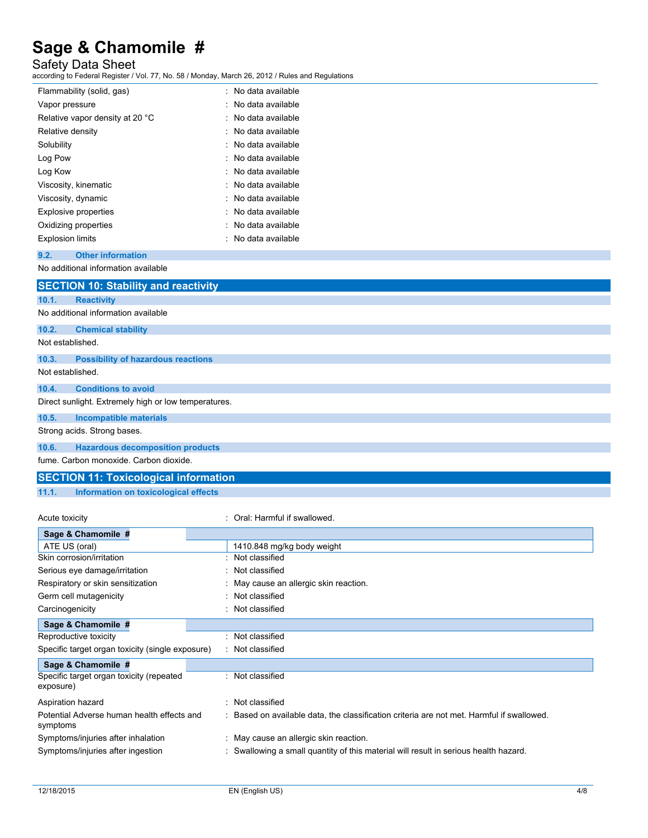### Safety Data Sheet

according to Federal Register / Vol. 77, No. 58 / Monday, March 26, 2012 / Rules and Regulations

| Flammability (solid, gas)       | : No data available |
|---------------------------------|---------------------|
| Vapor pressure                  | : No data available |
| Relative vapor density at 20 °C | : No data available |
| Relative density                | : No data available |
| Solubility                      | : No data available |
| Log Pow                         | : No data available |
| Log Kow                         | : No data available |
| Viscosity, kinematic            | : No data available |
| Viscosity, dynamic              | : No data available |
| <b>Explosive properties</b>     | : No data available |
| Oxidizing properties            | : No data available |
| <b>Explosion limits</b>         | : No data available |

#### **9.2. Other information**

No additional information available

|       | <b>SECTION 10: Stability and reactivity</b>          |
|-------|------------------------------------------------------|
| 10.1. | <b>Reactivity</b>                                    |
|       | No additional information available                  |
| 10.2. | <b>Chemical stability</b>                            |
|       | Not established.                                     |
| 10.3. | <b>Possibility of hazardous reactions</b>            |
|       | Not established.                                     |
| 10.4. | <b>Conditions to avoid</b>                           |
|       | Direct sunlight. Extremely high or low temperatures. |
| 10.5. | <b>Incompatible materials</b>                        |
|       | Strong acids. Strong bases.                          |
| 10.6. | <b>Hazardous decomposition products</b>              |
|       |                                                      |

fume. Carbon monoxide. Carbon dioxide.

#### **SECTION 11: Toxicological information**

Acute toxicity **in the case of the Caucasian Control**: Oral: Harmful if swallowed.

**11.1. Information on toxicological effects**

| Sage & Chamomile #                |    |
|-----------------------------------|----|
| ATE US (oral)                     | 14 |
| Skin corrosion/irritation         | No |
| Serious eye damage/irritation     | Nc |
| Respiratory or skin sensitization | Μa |
| Germ cell mutagenicity            | Nc |
| Carcinogenicity                   | Nc |
|                                   |    |

10.848 mg/kg body weight

| $A1L$ $UU$ ( $U1$ <i>al)</i>                           | <b>IT IV.0 TO INQING DOOW WEIGHT</b>                                                      |
|--------------------------------------------------------|-------------------------------------------------------------------------------------------|
| Skin corrosion/irritation                              | : Not classified                                                                          |
| Serious eye damage/irritation                          | : Not classified                                                                          |
| Respiratory or skin sensitization                      | : May cause an allergic skin reaction.                                                    |
| Germ cell mutagenicity                                 | : Not classified                                                                          |
| Carcinogenicity                                        | : Not classified                                                                          |
| Sage & Chamomile #                                     |                                                                                           |
| Reproductive toxicity                                  | : Not classified                                                                          |
| Specific target organ toxicity (single exposure)       | : Not classified                                                                          |
| Sage & Chamomile #                                     |                                                                                           |
| Specific target organ toxicity (repeated<br>exposure)  | : Not classified                                                                          |
| Aspiration hazard                                      | : Not classified                                                                          |
| Potential Adverse human health effects and<br>symptoms | : Based on available data, the classification criteria are not met. Harmful if swallowed. |
| Symptoms/injuries after inhalation                     | : May cause an allergic skin reaction.                                                    |
| Symptoms/injuries after ingestion                      | : Swallowing a small quantity of this material will result in serious health hazard.      |
|                                                        |                                                                                           |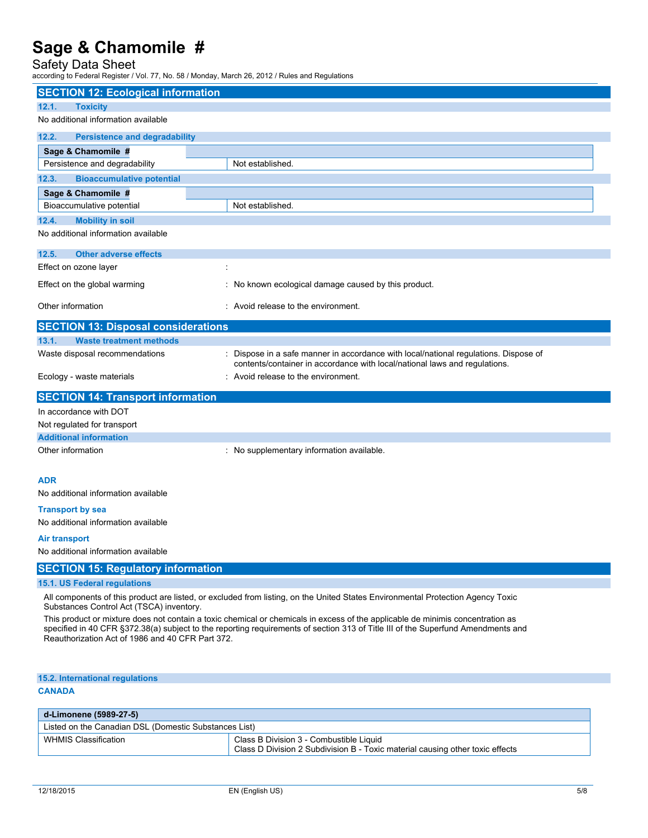### Safety Data Sheet

according to Federal Register / Vol. 77, No. 58 / Monday, March 26, 2012 / Rules and Regulations

| <b>SECTION 12: Ecological information</b>                                                                                                                                                                                                                                                                              |                                                                                                                                                                    |  |  |
|------------------------------------------------------------------------------------------------------------------------------------------------------------------------------------------------------------------------------------------------------------------------------------------------------------------------|--------------------------------------------------------------------------------------------------------------------------------------------------------------------|--|--|
| 12.1.<br><b>Toxicity</b>                                                                                                                                                                                                                                                                                               |                                                                                                                                                                    |  |  |
| No additional information available                                                                                                                                                                                                                                                                                    |                                                                                                                                                                    |  |  |
| 12.2.<br><b>Persistence and degradability</b>                                                                                                                                                                                                                                                                          |                                                                                                                                                                    |  |  |
| Sage & Chamomile #                                                                                                                                                                                                                                                                                                     |                                                                                                                                                                    |  |  |
| Persistence and degradability                                                                                                                                                                                                                                                                                          | Not established                                                                                                                                                    |  |  |
| 12.3.<br><b>Bioaccumulative potential</b>                                                                                                                                                                                                                                                                              |                                                                                                                                                                    |  |  |
| Sage & Chamomile #                                                                                                                                                                                                                                                                                                     |                                                                                                                                                                    |  |  |
| Bioaccumulative potential                                                                                                                                                                                                                                                                                              | Not established.                                                                                                                                                   |  |  |
| 12.4.<br><b>Mobility in soil</b>                                                                                                                                                                                                                                                                                       |                                                                                                                                                                    |  |  |
| No additional information available                                                                                                                                                                                                                                                                                    |                                                                                                                                                                    |  |  |
| 12.5.<br><b>Other adverse effects</b>                                                                                                                                                                                                                                                                                  |                                                                                                                                                                    |  |  |
| Effect on ozone layer                                                                                                                                                                                                                                                                                                  |                                                                                                                                                                    |  |  |
| Effect on the global warming                                                                                                                                                                                                                                                                                           | : No known ecological damage caused by this product.                                                                                                               |  |  |
| Other information                                                                                                                                                                                                                                                                                                      | : Avoid release to the environment.                                                                                                                                |  |  |
| <b>SECTION 13: Disposal considerations</b>                                                                                                                                                                                                                                                                             |                                                                                                                                                                    |  |  |
| <b>Waste treatment methods</b><br>13.1.                                                                                                                                                                                                                                                                                |                                                                                                                                                                    |  |  |
| Waste disposal recommendations                                                                                                                                                                                                                                                                                         | : Dispose in a safe manner in accordance with local/national regulations. Dispose of<br>contents/container in accordance with local/national laws and regulations. |  |  |
| Ecology - waste materials                                                                                                                                                                                                                                                                                              | : Avoid release to the environment.                                                                                                                                |  |  |
| <b>SECTION 14: Transport information</b>                                                                                                                                                                                                                                                                               |                                                                                                                                                                    |  |  |
| In accordance with DOT                                                                                                                                                                                                                                                                                                 |                                                                                                                                                                    |  |  |
| Not regulated for transport                                                                                                                                                                                                                                                                                            |                                                                                                                                                                    |  |  |
| <b>Additional information</b>                                                                                                                                                                                                                                                                                          |                                                                                                                                                                    |  |  |
| Other information                                                                                                                                                                                                                                                                                                      | : No supplementary information available.                                                                                                                          |  |  |
| <b>ADR</b>                                                                                                                                                                                                                                                                                                             |                                                                                                                                                                    |  |  |
| No additional information available                                                                                                                                                                                                                                                                                    |                                                                                                                                                                    |  |  |
| <b>Transport by sea</b>                                                                                                                                                                                                                                                                                                |                                                                                                                                                                    |  |  |
| No additional information available                                                                                                                                                                                                                                                                                    |                                                                                                                                                                    |  |  |
| Air transport                                                                                                                                                                                                                                                                                                          |                                                                                                                                                                    |  |  |
| No additional information available                                                                                                                                                                                                                                                                                    |                                                                                                                                                                    |  |  |
| <b>SECTION 15: Regulatory information</b>                                                                                                                                                                                                                                                                              |                                                                                                                                                                    |  |  |
| 15.1. US Federal regulations                                                                                                                                                                                                                                                                                           |                                                                                                                                                                    |  |  |
| All components of this product are listed, or excluded from listing, on the United States Environmental Protection Agency Toxic<br>Substances Control Act (TSCA) inventory.                                                                                                                                            |                                                                                                                                                                    |  |  |
| This product or mixture does not contain a toxic chemical or chemicals in excess of the applicable de minimis concentration as<br>specified in 40 CFR §372.38(a) subject to the reporting requirements of section 313 of Title III of the Superfund Amendments and<br>Reauthorization Act of 1986 and 40 CFR Part 372. |                                                                                                                                                                    |  |  |
| 15.2. International regulations                                                                                                                                                                                                                                                                                        |                                                                                                                                                                    |  |  |
| <b>CANADA</b>                                                                                                                                                                                                                                                                                                          |                                                                                                                                                                    |  |  |
| d-Limonene (5989-27-5)                                                                                                                                                                                                                                                                                                 |                                                                                                                                                                    |  |  |

| _a-Limonene (5989-27-5)                               |                                                                                                                          |  |
|-------------------------------------------------------|--------------------------------------------------------------------------------------------------------------------------|--|
| Listed on the Canadian DSL (Domestic Substances List) |                                                                                                                          |  |
| <b>WHMIS Classification</b>                           | Class B Division 3 - Combustible Liquid<br>Class D Division 2 Subdivision B - Toxic material causing other toxic effects |  |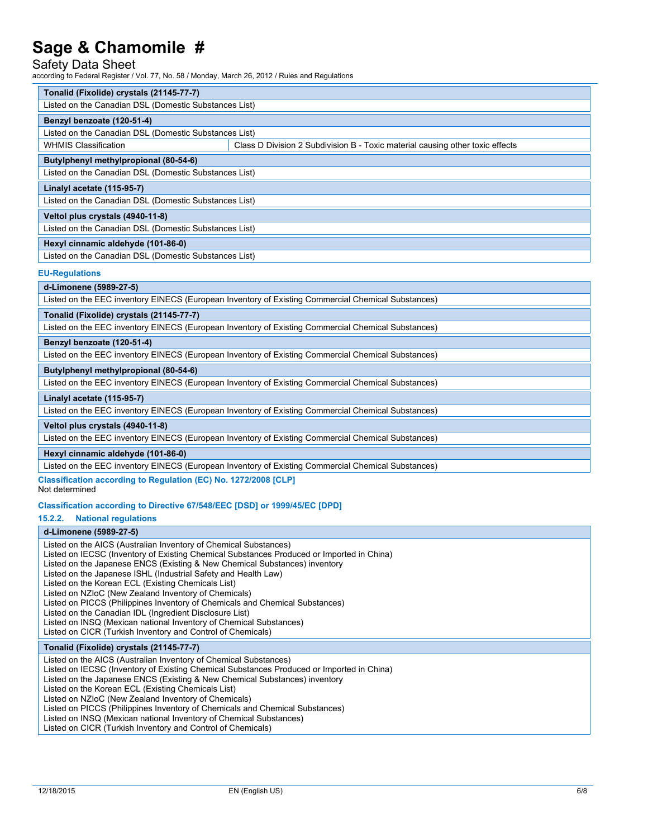#### Safety Data Sheet

according to Federal Register / Vol. 77, No. 58 / Monday, March 26, 2012 / Rules and Regulations

| Tonalid (Fixolide) crystals (21145-77-7)              |                                                                               |  |  |  |  |
|-------------------------------------------------------|-------------------------------------------------------------------------------|--|--|--|--|
| Listed on the Canadian DSL (Domestic Substances List) |                                                                               |  |  |  |  |
| Benzyl benzoate (120-51-4)                            |                                                                               |  |  |  |  |
| Listed on the Canadian DSL (Domestic Substances List) |                                                                               |  |  |  |  |
| <b>WHMIS Classification</b>                           | Class D Division 2 Subdivision B - Toxic material causing other toxic effects |  |  |  |  |
| Butylphenyl methylpropional (80-54-6)                 |                                                                               |  |  |  |  |
| Listed on the Canadian DSL (Domestic Substances List) |                                                                               |  |  |  |  |
| Linalyl acetate (115-95-7)                            |                                                                               |  |  |  |  |
| Listed on the Canadian DSL (Domestic Substances List) |                                                                               |  |  |  |  |
| Veltol plus crystals (4940-11-8)                      |                                                                               |  |  |  |  |
| Listed on the Canadian DSL (Domestic Substances List) |                                                                               |  |  |  |  |
| Hexyl cinnamic aldehyde (101-86-0)                    |                                                                               |  |  |  |  |
| Listed on the Canadian DSL (Domestic Substances List) |                                                                               |  |  |  |  |

**EU-Regulations**

**d-Limonene (5989-27-5)**

Listed on the EEC inventory EINECS (European Inventory of Existing Commercial Chemical Substances)

**Tonalid (Fixolide) crystals (21145-77-7)**

Listed on the EEC inventory EINECS (European Inventory of Existing Commercial Chemical Substances)

**Benzyl benzoate (120-51-4)**

Listed on the EEC inventory EINECS (European Inventory of Existing Commercial Chemical Substances)

**Butylphenyl methylpropional (80-54-6)**

Listed on the EEC inventory EINECS (European Inventory of Existing Commercial Chemical Substances)

**Linalyl acetate (115-95-7)**

Listed on the EEC inventory EINECS (European Inventory of Existing Commercial Chemical Substances)

#### **Veltol plus crystals (4940-11-8)**

Listed on the EEC inventory EINECS (European Inventory of Existing Commercial Chemical Substances)

**Hexyl cinnamic aldehyde (101-86-0)**

Listed on the EEC inventory EINECS (European Inventory of Existing Commercial Chemical Substances)

**Classification according to Regulation (EC) No. 1272/2008 [CLP]**

Not determined

#### **Classification according to Directive 67/548/EEC [DSD] or 1999/45/EC [DPD]**

#### **15.2.2. National regulations**

#### **d-Limonene (5989-27-5)**

Listed on the AICS (Australian Inventory of Chemical Substances) Listed on IECSC (Inventory of Existing Chemical Substances Produced or Imported in China) Listed on the Japanese ENCS (Existing & New Chemical Substances) inventory Listed on the Japanese ISHL (Industrial Safety and Health Law) Listed on the Korean ECL (Existing Chemicals List) Listed on NZIoC (New Zealand Inventory of Chemicals) Listed on PICCS (Philippines Inventory of Chemicals and Chemical Substances) Listed on the Canadian IDL (Ingredient Disclosure List) Listed on INSQ (Mexican national Inventory of Chemical Substances) Listed on CICR (Turkish Inventory and Control of Chemicals) **Tonalid (Fixolide) crystals (21145-77-7)** Listed on the AICS (Australian Inventory of Chemical Substances) Listed on IECSC (Inventory of Existing Chemical Substances Produced or Imported in China)

Listed on the Japanese ENCS (Existing & New Chemical Substances) inventory

Listed on the Korean ECL (Existing Chemicals List)

Listed on NZIoC (New Zealand Inventory of Chemicals)

Listed on PICCS (Philippines Inventory of Chemicals and Chemical Substances)

Listed on INSQ (Mexican national Inventory of Chemical Substances)

Listed on CICR (Turkish Inventory and Control of Chemicals)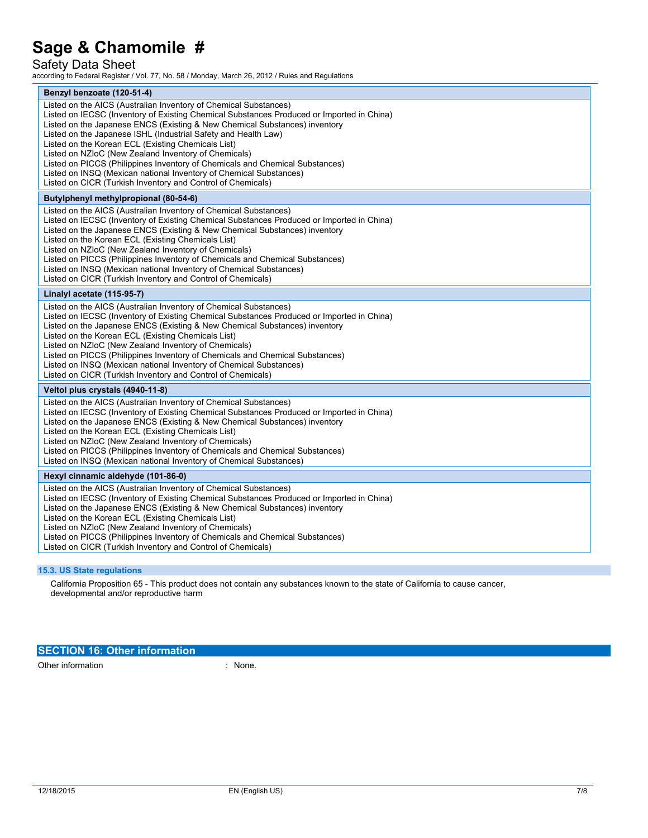### Safety Data Sheet

according to Federal Register / Vol. 77, No. 58 / Monday, March 26, 2012 / Rules and Regulations

| Benzyl benzoate (120-51-4)                                                                                                                                                                                                                                                                                                                                                                                                                                                                                                                                                                                                                       |  |  |  |
|--------------------------------------------------------------------------------------------------------------------------------------------------------------------------------------------------------------------------------------------------------------------------------------------------------------------------------------------------------------------------------------------------------------------------------------------------------------------------------------------------------------------------------------------------------------------------------------------------------------------------------------------------|--|--|--|
| Listed on the AICS (Australian Inventory of Chemical Substances)<br>Listed on IECSC (Inventory of Existing Chemical Substances Produced or Imported in China)<br>Listed on the Japanese ENCS (Existing & New Chemical Substances) inventory<br>Listed on the Japanese ISHL (Industrial Safety and Health Law)<br>Listed on the Korean ECL (Existing Chemicals List)<br>Listed on NZIoC (New Zealand Inventory of Chemicals)<br>Listed on PICCS (Philippines Inventory of Chemicals and Chemical Substances)<br>Listed on INSQ (Mexican national Inventory of Chemical Substances)<br>Listed on CICR (Turkish Inventory and Control of Chemicals) |  |  |  |
| Butylphenyl methylpropional (80-54-6)                                                                                                                                                                                                                                                                                                                                                                                                                                                                                                                                                                                                            |  |  |  |
| Listed on the AICS (Australian Inventory of Chemical Substances)<br>Listed on IECSC (Inventory of Existing Chemical Substances Produced or Imported in China)<br>Listed on the Japanese ENCS (Existing & New Chemical Substances) inventory<br>Listed on the Korean ECL (Existing Chemicals List)<br>Listed on NZIoC (New Zealand Inventory of Chemicals)<br>Listed on PICCS (Philippines Inventory of Chemicals and Chemical Substances)<br>Listed on INSQ (Mexican national Inventory of Chemical Substances)<br>Listed on CICR (Turkish Inventory and Control of Chemicals)                                                                   |  |  |  |
| Linalyl acetate (115-95-7)                                                                                                                                                                                                                                                                                                                                                                                                                                                                                                                                                                                                                       |  |  |  |
| Listed on the AICS (Australian Inventory of Chemical Substances)<br>Listed on IECSC (Inventory of Existing Chemical Substances Produced or Imported in China)<br>Listed on the Japanese ENCS (Existing & New Chemical Substances) inventory<br>Listed on the Korean ECL (Existing Chemicals List)<br>Listed on NZIoC (New Zealand Inventory of Chemicals)<br>Listed on PICCS (Philippines Inventory of Chemicals and Chemical Substances)<br>Listed on INSQ (Mexican national Inventory of Chemical Substances)<br>Listed on CICR (Turkish Inventory and Control of Chemicals)                                                                   |  |  |  |
| Veltol plus crystals (4940-11-8)                                                                                                                                                                                                                                                                                                                                                                                                                                                                                                                                                                                                                 |  |  |  |
| Listed on the AICS (Australian Inventory of Chemical Substances)<br>Listed on IECSC (Inventory of Existing Chemical Substances Produced or Imported in China)<br>Listed on the Japanese ENCS (Existing & New Chemical Substances) inventory<br>Listed on the Korean ECL (Existing Chemicals List)<br>Listed on NZIoC (New Zealand Inventory of Chemicals)<br>Listed on PICCS (Philippines Inventory of Chemicals and Chemical Substances)<br>Listed on INSQ (Mexican national Inventory of Chemical Substances)                                                                                                                                  |  |  |  |
| Hexyl cinnamic aldehyde (101-86-0)                                                                                                                                                                                                                                                                                                                                                                                                                                                                                                                                                                                                               |  |  |  |
| Listed on the AICS (Australian Inventory of Chemical Substances)<br>Listed on IECSC (Inventory of Existing Chemical Substances Produced or Imported in China)<br>Listed on the Japanese ENCS (Existing & New Chemical Substances) inventory<br>Listed on the Korean ECL (Existing Chemicals List)<br>Listed on NZIoC (New Zealand Inventory of Chemicals)<br>Listed on PICCS (Philippines Inventory of Chemicals and Chemical Substances)<br>Listed on CICR (Turkish Inventory and Control of Chemicals)                                                                                                                                         |  |  |  |

### **15.3. US State regulations**

California Proposition 65 - This product does not contain any substances known to the state of California to cause cancer, developmental and/or reproductive harm

## **SECTION 16: Other information**

Other information : None.